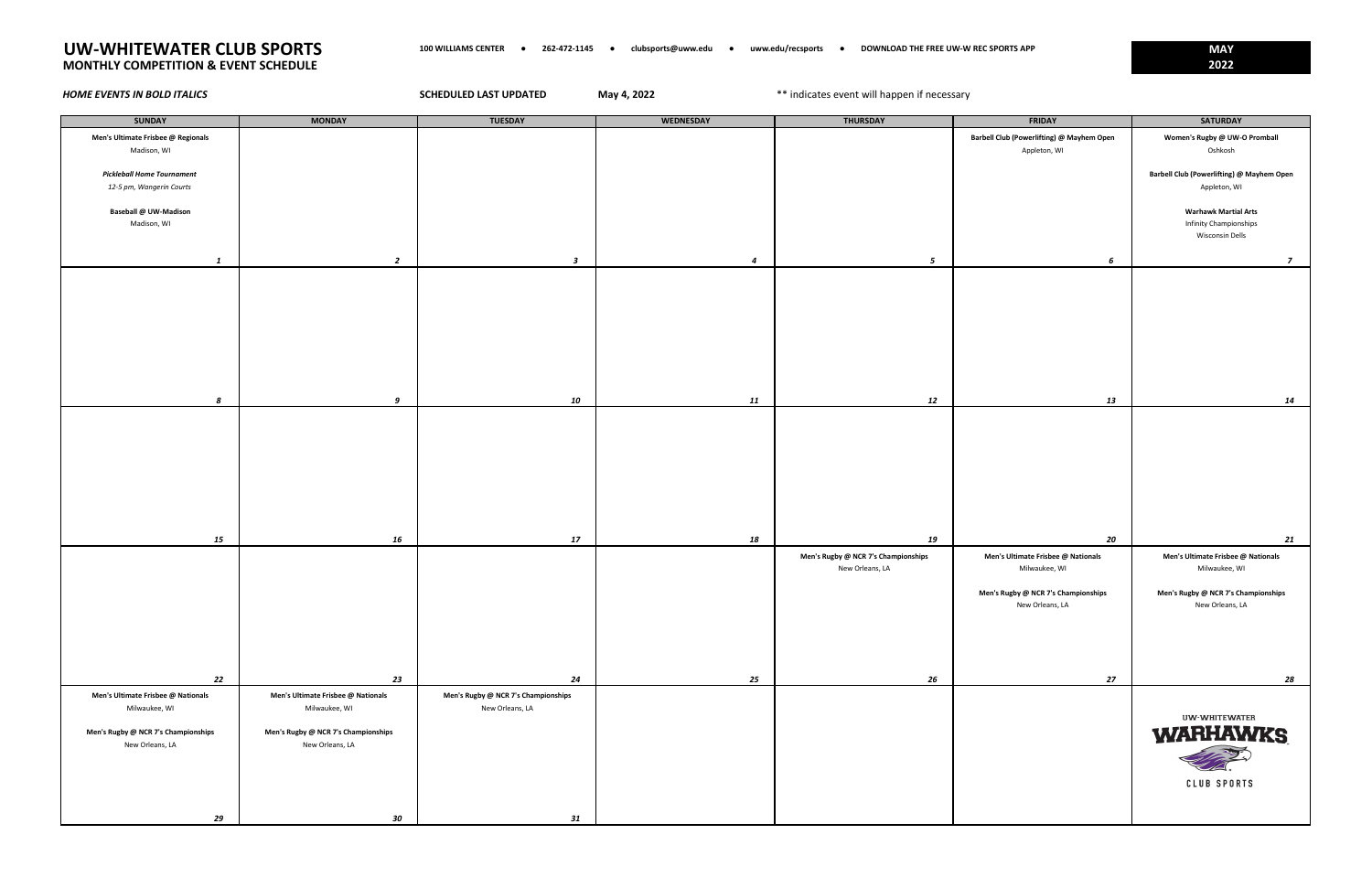| <b>SUNDAY</b>                                          | <b>MONDAY</b>                                          | <b>TUESDAY</b>                      | <b>WEDNESDAY</b> | <b>THURSDAY</b>                     | <b>FRIDAY</b>                             | <b>SATURDAY</b>                                       |
|--------------------------------------------------------|--------------------------------------------------------|-------------------------------------|------------------|-------------------------------------|-------------------------------------------|-------------------------------------------------------|
| Men's Ultimate Frisbee @ Regionals                     |                                                        |                                     |                  |                                     | Barbell Club (Powerlifting) @ Mayhem Open | Women's Rugby @ UW-O Promball                         |
| Madison, WI                                            |                                                        |                                     |                  |                                     | Appleton, WI                              | Oshkosh                                               |
| <b>Pickleball Home Tournament</b>                      |                                                        |                                     |                  |                                     |                                           | Barbell Club (Powerlifting) @ Mayhem Open             |
| 12-5 pm, Wangerin Courts                               |                                                        |                                     |                  |                                     |                                           | Appleton, WI                                          |
|                                                        |                                                        |                                     |                  |                                     |                                           |                                                       |
| Baseball @ UW-Madison<br>Madison, WI                   |                                                        |                                     |                  |                                     |                                           | <b>Warhawk Martial Arts</b><br>Infinity Championships |
|                                                        |                                                        |                                     |                  |                                     |                                           | Wisconsin Dells                                       |
|                                                        |                                                        |                                     |                  |                                     |                                           |                                                       |
| 1                                                      | $\overline{2}$                                         | $\boldsymbol{\mathsf{3}}$           | $\overline{a}$   | $\sqrt{5}$                          | 6                                         | $\overline{z}$                                        |
|                                                        |                                                        |                                     |                  |                                     |                                           |                                                       |
|                                                        |                                                        |                                     |                  |                                     |                                           |                                                       |
|                                                        |                                                        |                                     |                  |                                     |                                           |                                                       |
|                                                        |                                                        |                                     |                  |                                     |                                           |                                                       |
|                                                        |                                                        |                                     |                  |                                     |                                           |                                                       |
|                                                        |                                                        |                                     |                  |                                     |                                           |                                                       |
|                                                        |                                                        |                                     |                  |                                     |                                           |                                                       |
|                                                        |                                                        |                                     |                  |                                     |                                           |                                                       |
| 8                                                      | 9                                                      | 10                                  | 11               | 12                                  | 13                                        | 14                                                    |
|                                                        |                                                        |                                     |                  |                                     |                                           |                                                       |
|                                                        |                                                        |                                     |                  |                                     |                                           |                                                       |
|                                                        |                                                        |                                     |                  |                                     |                                           |                                                       |
|                                                        |                                                        |                                     |                  |                                     |                                           |                                                       |
|                                                        |                                                        |                                     |                  |                                     |                                           |                                                       |
|                                                        |                                                        |                                     |                  |                                     |                                           |                                                       |
|                                                        |                                                        |                                     |                  |                                     |                                           |                                                       |
| 15                                                     | 16                                                     | 17                                  | 18               | 19                                  | 20                                        | 21                                                    |
|                                                        |                                                        |                                     |                  | Men's Rugby @ NCR 7's Championships | Men's Ultimate Frisbee @ Nationals        | Men's Ultimate Frisbee @ Nationals                    |
|                                                        |                                                        |                                     |                  | New Orleans, LA                     | Milwaukee, WI                             | Milwaukee, WI                                         |
|                                                        |                                                        |                                     |                  |                                     |                                           |                                                       |
|                                                        |                                                        |                                     |                  |                                     | Men's Rugby @ NCR 7's Championships       | Men's Rugby @ NCR 7's Championships                   |
|                                                        |                                                        |                                     |                  |                                     | New Orleans, LA                           | New Orleans, LA                                       |
|                                                        |                                                        |                                     |                  |                                     |                                           |                                                       |
|                                                        |                                                        |                                     |                  |                                     |                                           |                                                       |
|                                                        |                                                        |                                     |                  |                                     |                                           |                                                       |
| 22                                                     | 23                                                     | 24                                  | 25               | 26                                  | 27                                        | 28                                                    |
| Men's Ultimate Frisbee @ Nationals                     | Men's Ultimate Frisbee @ Nationals                     | Men's Rugby @ NCR 7's Championships |                  |                                     |                                           |                                                       |
| Milwaukee, WI                                          | Milwaukee, WI                                          | New Orleans, LA                     |                  |                                     |                                           |                                                       |
|                                                        |                                                        |                                     |                  |                                     |                                           | <b>UW-WHITEWATER</b>                                  |
| Men's Rugby @ NCR 7's Championships<br>New Orleans, LA | Men's Rugby @ NCR 7's Championships<br>New Orleans, LA |                                     |                  |                                     |                                           | <b>WARHAWKS</b>                                       |
|                                                        |                                                        |                                     |                  |                                     |                                           |                                                       |
|                                                        |                                                        |                                     |                  |                                     |                                           |                                                       |
|                                                        |                                                        |                                     |                  |                                     |                                           | <b>CLUB SPORTS</b>                                    |
|                                                        |                                                        |                                     |                  |                                     |                                           |                                                       |
| 29                                                     | 30                                                     | 31                                  |                  |                                     |                                           |                                                       |

# **UW-WHITEWATER CLUB SPORTS 100 WILLIAMS CENTER ● 262-472-1145 ● clubsports@uww.edu ● uww.edu/recsports ● DOWNLOAD THE FREE UW-W REC SPORTS APP MAY MONTHLY COMPETITION & EVENT SCHEDULE 2022**

**May 4, 2022 HOME EVENTS IN BOLD ITALICS SCHEDULED LAST UPDATED** May 4, 2022 **The SECT ASSESS** and the open if necessary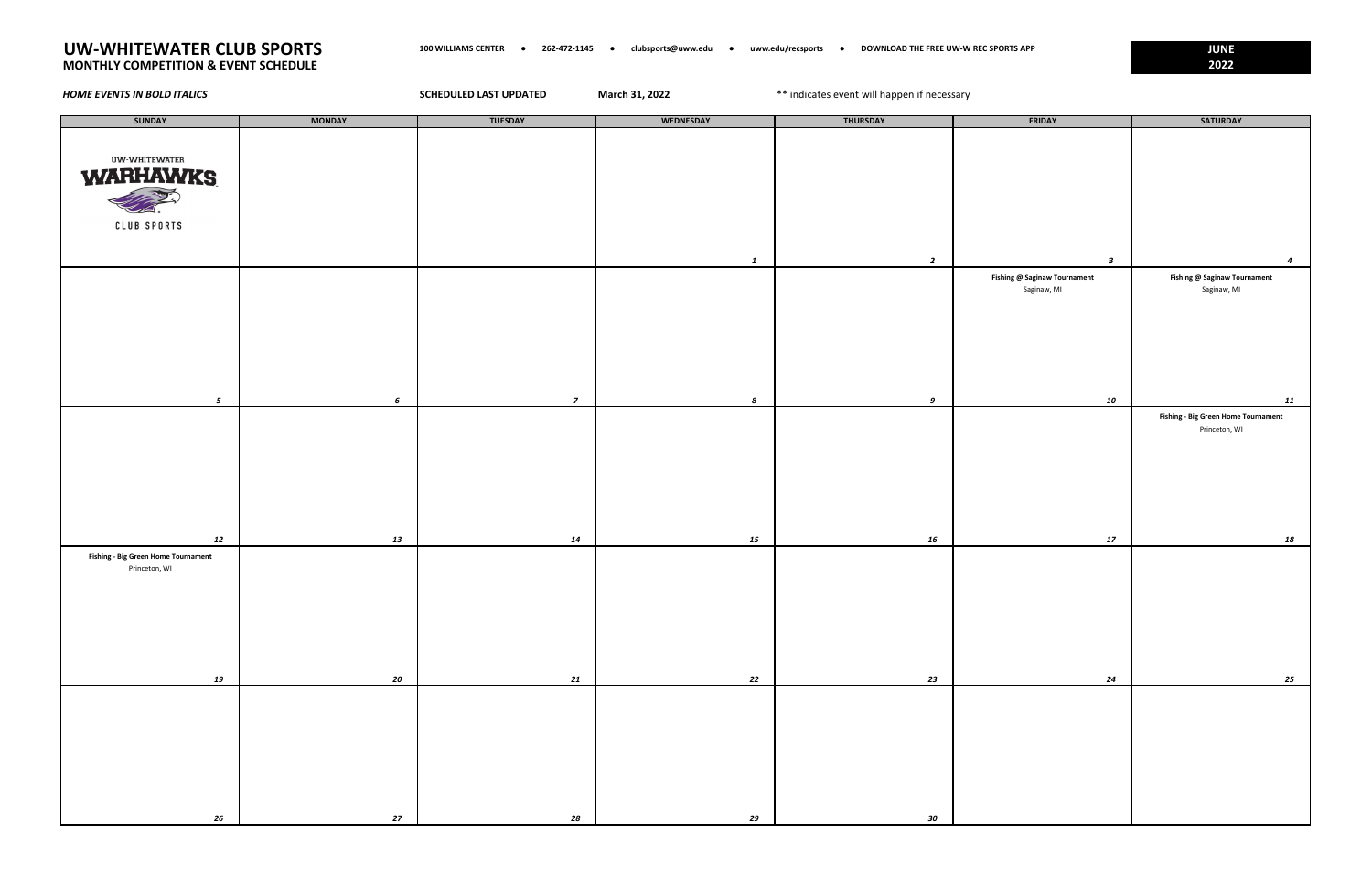| <b>SUNDAY</b>                                               | <b>MONDAY</b> | <b>TUESDAY</b> | WEDNESDAY    | <b>THURSDAY</b> | FRIDAY                                      | <b>SATURDAY</b>                                  |
|-------------------------------------------------------------|---------------|----------------|--------------|-----------------|---------------------------------------------|--------------------------------------------------|
|                                                             |               |                |              |                 |                                             |                                                  |
| <b>UW-WHITEWATER</b>                                        |               |                |              |                 |                                             |                                                  |
| <b>WARHAWKS</b>                                             |               |                |              |                 |                                             |                                                  |
| <b>RACTOR</b>                                               |               |                |              |                 |                                             |                                                  |
| <b>CLUB SPORTS</b>                                          |               |                |              |                 |                                             |                                                  |
|                                                             |               |                |              |                 |                                             |                                                  |
|                                                             |               |                | $\mathbf{1}$ | $\overline{2}$  | $\boldsymbol{\mathsf{3}}$                   | $\overline{a}$                                   |
|                                                             |               |                |              |                 | Fishing @ Saginaw Tournament<br>Saginaw, MI | Fishing @ Saginaw Tournament<br>Saginaw, MI      |
|                                                             |               |                |              |                 |                                             |                                                  |
|                                                             |               |                |              |                 |                                             |                                                  |
|                                                             |               |                |              |                 |                                             |                                                  |
|                                                             |               |                |              |                 |                                             |                                                  |
|                                                             |               |                |              |                 |                                             |                                                  |
| $5\overline{5}$                                             | $\epsilon$    | $\overline{z}$ | 8            | 9               | 10                                          | 11<br><b>Fishing - Big Green Home Tournament</b> |
|                                                             |               |                |              |                 |                                             | Princeton, WI                                    |
|                                                             |               |                |              |                 |                                             |                                                  |
|                                                             |               |                |              |                 |                                             |                                                  |
|                                                             |               |                |              |                 |                                             |                                                  |
|                                                             |               |                |              |                 |                                             |                                                  |
| 12                                                          | 13            | 14             | 15           | 16              | 17                                          | 18                                               |
| <b>Fishing - Big Green Home Tournament</b><br>Princeton, WI |               |                |              |                 |                                             |                                                  |
|                                                             |               |                |              |                 |                                             |                                                  |
|                                                             |               |                |              |                 |                                             |                                                  |
|                                                             |               |                |              |                 |                                             |                                                  |
|                                                             |               |                |              |                 |                                             |                                                  |
|                                                             |               |                |              |                 |                                             |                                                  |
| 19                                                          | 20            | 21             | 22           | 23              | 24                                          | 25                                               |
|                                                             |               |                |              |                 |                                             |                                                  |
|                                                             |               |                |              |                 |                                             |                                                  |
|                                                             |               |                |              |                 |                                             |                                                  |
|                                                             |               |                |              |                 |                                             |                                                  |
|                                                             |               |                |              |                 |                                             |                                                  |
| 26                                                          | 27            | 28             | 29           | 30              |                                             |                                                  |
|                                                             |               |                |              |                 |                                             |                                                  |

# **UW-WHITEWATER CLUB SPORTS 100 WILLIAMS CENTER ● 262-472-1145 ● clubsports@uww.edu ● uww.edu/recsports ● DOWNLOAD THE FREE UW-W REC SPORTS APP JUNE MONTHLY COMPETITION & EVENT SCHEDULE 2022**

**March 31, 2022 HOME EVENTS IN BOLD ITALICS SCHEDULED LAST UPDATED** March 31, 2022 **1998 March 31, 2022 1998** March 2022 **1998** March 2022 **1998** March 31, 2022 **1998** March 31, 2022 **1998** March 31, 2022 **1999** March 31, 2022 **1999**